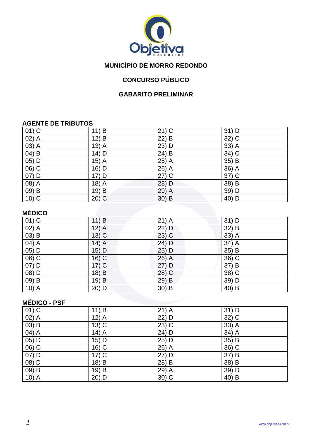

# **MUNICÍPIO DE MORRO REDONDO**

# **CONCURSO PÚBLICO**

### **GABARITO PRELIMINAR**

#### **AGENTE DE TRIBUTOS**

| $01)$ C | 11) B             | $21)$ C | $31)$ D |
|---------|-------------------|---------|---------|
| 02) A   | 12) B             | 22) B   | 32) C   |
| $03)$ A | $13\overline{)A}$ | 23) D   | $33)$ A |
| $04)$ B | 14) D             | $24)$ B | $34)$ C |
| $05)$ D | $15)$ A           | $25)$ A | 35) B   |
| $06)$ C | 16) D             | $26)$ A | 36) A   |
| $07)$ D | 17) D             | $27)$ C | $37)$ C |
| 08) A   | $18)$ A           | 28) D   | 38) B   |
| 09) B   | 19) B             | 29) A   | 39) D   |
| $10)$ C | $20)$ C           | $30)$ B | 40) D   |

# **MÉDICO**

| $\overline{01}$ C  | 11) B                | $21)$ A | $31)$ D  |  |
|--------------------|----------------------|---------|----------|--|
| $\overline{02)}$ A | $12)$ A              | 22) D   | 32) B    |  |
| $03)$ B            | $13)$ C              | $23)$ C | $33)$ A  |  |
| 04) A              | $14)$ $\overline{A}$ | 24) D   | 34) A    |  |
| $05)$ D            | 15) D                | 25) D   | 35) B    |  |
| 06) C              | 16) C                | $26)$ A | 36) C    |  |
| $07)$ D            | $17)$ C              | 27) D   | 37) B    |  |
| $(08)$ D           | 18) B                | 28) C   | $38)$ C  |  |
| 09) B              | 19) B                | 29) B   | 39) D    |  |
| 10) A              | $20)$ D              | $30)$ B | 40)<br>B |  |

## **MÉDICO - PSF**

| $01)$ C             | 11) B              | $21)$ A | $31)$ D |
|---------------------|--------------------|---------|---------|
| 02) A               | $12)$ A            | 22) D   | 32) C   |
| $(03)$ B            | $13)$ C            | $23)$ C | $33)$ A |
| 04) A               | $14)$ A            | 24) D   | $34)$ A |
| $05)$ D             | 15) D              | 25) D   | 35) B   |
| $\overline{06}$ ) C | 16) C              | 26) A   | $36)$ C |
| 07) D               | $17)$ C            | $27)$ D | 37) B   |
| $(08)$ D            | 18) $\overline{B}$ | 28) B   | 38) B   |
| $(09)$ B            | 19) B              | 29) A   | 39) D   |
| 10) A               | 20) D              | $30)$ C | 40) B   |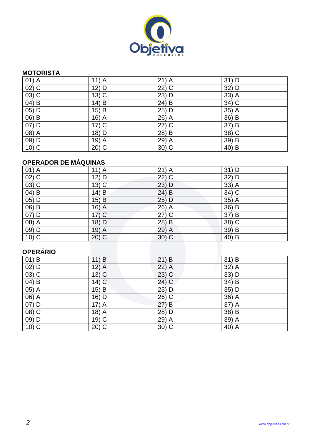

#### **MOTORISTA**

| $01)$ A            | $11)$ A | $21)$ A             | $31)$ D           |
|--------------------|---------|---------------------|-------------------|
| $\overline{02)}$ C | 12) D   | $\overline{22}$ ) C | 32) D             |
| $(03)$ C           | $13)$ C | 23) D               | 33) A             |
| $04)$ B            | 14) B   | $24)$ B             | 34) C             |
| $\overline{05)}$ D | $15)$ B | 25) D               | $35)$ A           |
| 06) B              | $16)$ A | 26) A               | 36) B             |
| $07)$ D            | $17)$ C | $27)$ C             | 37) B             |
| $(08)$ A           | 18) D   | 28) B               | $38\overline{)C}$ |
| 09) D              | $19)$ A | 29) A               | 39) B             |
| $10)$ C            | $20)$ C | $30)$ C             | 40) B             |

# **OPERADOR DE MÁQUINAS**

| $01)$ A                        | $11)$ A | $21)$ A | $31)$ D |
|--------------------------------|---------|---------|---------|
| $02)$ C                        | 12) D   | $22)$ C | 32) D   |
| $(03)$ C                       | $13)$ C | 23) D   | 33) A   |
| $04)$ B                        | 14) B   | 24) B   | $34)$ C |
| $05)$ D                        | $15)$ B | 25) D   | $35)$ A |
| $\overline{06}$ $\overline{B}$ | $16)$ A | 26) A   | $36)$ B |
| 07) D                          | $17)$ C | $27)$ C | 37) B   |
| $(08)$ A                       | $18)$ D | 28) B   | $38)$ C |
| 09) D                          | $19)$ A | $29)$ A | 39) B   |
| $10)$ C                        | $20)$ C | $30)$ C | 40) B   |

## **OPERÁRIO**

| .                   |         |         |         |
|---------------------|---------|---------|---------|
| $01)$ B             | 11) B   | $21)$ B | 31) B   |
| $02)$ D             | $12)$ A | $22)$ A | 32) A   |
| $\overline{03}$ ) C | $13)$ C | $23)$ C | 33) D   |
| 04) B               | $14)$ C | 24) C   | 34) B   |
| 05) A               | 15) B   | $25)$ D | 35) D   |
| 06) A               | 16) D   | 26) C   | $36)$ A |
| 07) D               | $17)$ A | 27) B   | $37)$ A |
| 08) C               | 18) A   | 28) D   | 38) B   |
| 09) D               | 19) C   | 29) A   | 39) A   |
| $10)$ C             | $20)$ C | $30)$ C | 40) A   |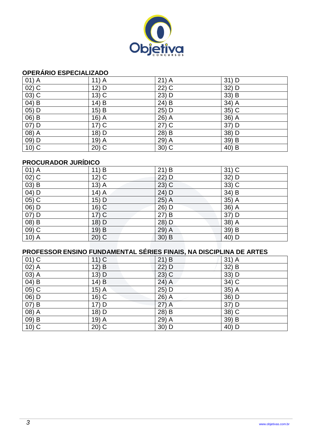

## **OPERÁRIO ESPECIALIZADO**

| $01)$ A                        | $11)$ A | $21)$ A | $31)$ D |
|--------------------------------|---------|---------|---------|
| $\overline{02)}$ C             | 12) D   | $22)$ C | 32) D   |
| $03)$ C                        | $13)$ C | 23) D   | 33) B   |
| $\overline{04}$ $\overline{B}$ | 14) B   | $24)$ B | 34) A   |
| $05)$ D                        | $15)$ B | 25) D   | 35) C   |
| $06)$ B                        | $16)$ A | 26) A   | 36) A   |
| 07) D                          | $17)$ C | $27)$ C | 37) D   |
| $(08)$ A                       | 18) D   | 28) B   | 38) D   |
| 09) D                          | $19)$ A | 29) A   | 39) B   |
| $10)$ C                        | $20)$ C | $30)$ C | 40) B   |

## **PROCURADOR JURÍDICO**

| $01)$ A  | 11) B   | $21)$ B                                                                   | $31)$ C |
|----------|---------|---------------------------------------------------------------------------|---------|
| $02)$ C  | $12)$ C | $22)$ D                                                                   | 32) D   |
| $(03)$ B | $13)$ A | $23)$ C                                                                   | 33) C   |
| $04)$ D  | $14)$ A | 24) D                                                                     | 34) B   |
| $05)$ C  | $15)$ D | $25)$ A                                                                   | 35) A   |
| 06) D    | $16)$ C | 26) D                                                                     | 36) A   |
| $07)$ D  | $17)$ C | 27) B                                                                     | 37) D   |
| 08) B    | 18) D   | 28) D                                                                     | 38) A   |
| 09) C    | 19) B   | $29)$ A                                                                   | 39) B   |
| 10) A    | $20)$ C | $30)$ B                                                                   | 40) D   |
|          |         |                                                                           |         |
|          |         | <b>DDOCCCCOD CNCINO CUNDAMENTAL CÉDICC CINAIS NA DISCIDI INA DE ADTES</b> |         |

| <u>PROFESSOR ENSINO FUNDAMENTAL SERIES FINAIS, NA DISCIPLINA DE ARTES</u> |         |                                 |         |  |  |
|---------------------------------------------------------------------------|---------|---------------------------------|---------|--|--|
| $01)$ C                                                                   | 11) C   | 21<br>$\overline{) \mathsf{B}}$ | $31)$ A |  |  |
| $02)$ A                                                                   | 12) B   | $22)$ D                         | $32)$ B |  |  |
| 03) A                                                                     | $13)$ D | $23)$ C                         | $33)$ D |  |  |
| $(04)$ B                                                                  | $14)$ B | 24) A                           | 34) C   |  |  |
| $05)$ C                                                                   | $15)$ A | $25)$ D                         | $35)$ A |  |  |
| 06) D                                                                     | $16)$ C | 26) A                           | 36) D   |  |  |
| $(07)$ B                                                                  | 17) D   | (27)<br>$\overline{A}$          | 37) D   |  |  |
| 08) A                                                                     | 18) D   | 28) B                           | 38) C   |  |  |
| $(09)$ B                                                                  | $19)$ A | 29) A                           | 39) B   |  |  |
| $10)$ C                                                                   | $20)$ C | $30)$ D                         | 40) D   |  |  |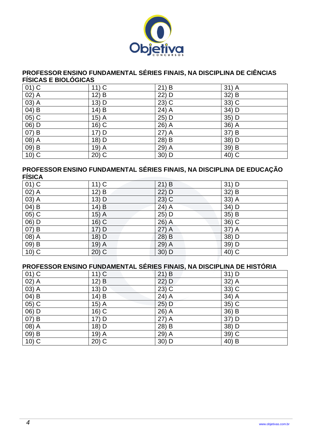

#### **PROFESSOR ENSINO FUNDAMENTAL SÉRIES FINAIS, NA DISCIPLINA DE CIÊNCIAS FÍSICAS E BIOLÓGICAS**

| $01)$ C            | $11)$ C | 21) B             | $31)$ A             |
|--------------------|---------|-------------------|---------------------|
| $\overline{02)}$ A | $12)$ B | 22) D             | 32) B               |
| $\overline{03)}$ A | 13) D   | $23\overline{)C}$ | $33)$ C             |
| $04)$ B            | 14) B   | $24)$ A           | 34) D               |
| $05)$ C            | $15)$ A | 25) D             | 35) D               |
| 06) D              | 16) C   | 26) A             | 36) A               |
| 07) B              | 17) D   | $27)$ A           | 37) B               |
| $(08)$ A           | 18) D   | 28) B             | 38) D               |
| 09) B              | 19) A   | 29) A             | 39) B               |
| $10)$ C            | $20)$ C | 30) D             | $\overline{40}$ ) C |

#### **PROFESSOR ENSINO FUNDAMENTAL SÉRIES FINAIS, NA DISCIPLINA DE EDUCAÇÃO FÍSICA**

| .                              |          |         |                          |
|--------------------------------|----------|---------|--------------------------|
| $\overline{01)}$ C             | $11)$ C  | 21) B   | $31)$ D                  |
| $02)$ A                        | $12)$ B  | 22) D   | 32) B                    |
| 03) A                          | $13)$ D  | $23)$ C | 33) A                    |
| 04) B                          | $14)$ B  | $24)$ A | 34) D                    |
| $(05)$ C                       | $15)$ A  | 25) D   | $35\overline{\smash) B}$ |
| $(06)$ D                       | $16)$ C  | $26)$ A | $\overline{36}$ ) C      |
| $\overline{07}$ $\overline{B}$ | 17) D    | $27)$ A | $37)$ $\overline{A}$     |
| 08) A                          | 18) D    | 28) B   | 38) D                    |
| 09) B                          | $(19)$ A | 29) A   | 39) D                    |
| $10)$ C                        | $20)$ C  | 30) D   | $40)$ C                  |

## **PROFESSOR ENSINO FUNDAMENTAL SÉRIES FINAIS, NA DISCIPLINA DE HISTÓRIA**

| $01)$ C | $11)$ C            | $21)$ B | 31) D   |
|---------|--------------------|---------|---------|
| $02)$ A | $12) \overline{B}$ | 22) D   | $32)$ A |
| 03) A   | 13) D              | $23)$ C | $33)$ C |
| $04)$ B | 14) B              | 24) A   | $34)$ A |
| 05) C   | $15)$ A            | 25) D   | 35) C   |
| 06) D   | 16) C              | 26) A   | $36)$ B |
| 07) B   | 17) D              | $27)$ A | 37) D   |
| 08) A   | 18) D              | 28) B   | 38) D   |
| 09) B   | $19)$ A            | 29) A   | $39)$ C |
| $10)$ C | $20)$ C            | 30) D   | $40)$ B |